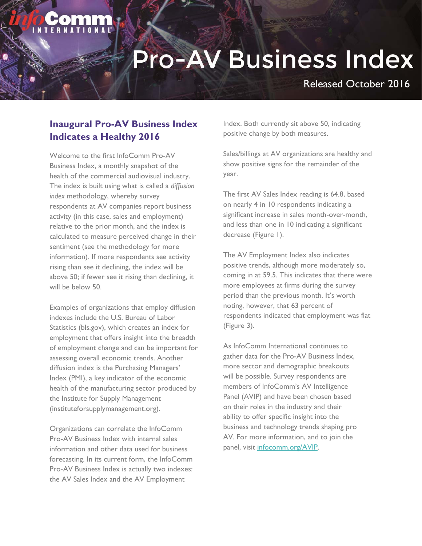Released October 2016

#### **Inaugural Pro-AV Business Index Indicates a Healthy 2016**

Welcome to the first InfoComm Pro-AV Business Index, a monthly snapshot of the health of the commercial audiovisual industry. The index is built using what is called a *diffusion index* methodology, whereby survey respondents at AV companies report business activity (in this case, sales and employment) relative to the prior month, and the index is calculated to measure perceived change in their sentiment (see the methodology for more information). If more respondents see activity rising than see it declining, the index will be above 50; if fewer see it rising than declining, it will be below 50.

Examples of organizations that employ diffusion indexes include the U.S. Bureau of Labor Statistics (bls.gov), which creates an index for employment that offers insight into the breadth of employment change and can be important for assessing overall economic trends. Another diffusion index is the Purchasing Managers' Index (PMI), a key indicator of the economic health of the manufacturing sector produced by the Institute for Supply Management (instituteforsupplymanagement.org).

Organizations can correlate the InfoComm Pro-AV Business Index with internal sales information and other data used for business forecasting. In its current form, the InfoComm Pro-AV Business Index is actually two indexes: the AV Sales Index and the AV Employment

Index. Both currently sit above 50, indicating positive change by both measures.

Sales/billings at AV organizations are healthy and show positive signs for the remainder of the year.

The first AV Sales Index reading is 64.8, based on nearly 4 in 10 respondents indicating a significant increase in sales month-over-month, and less than one in 10 indicating a significant decrease (Figure 1).

The AV Employment Index also indicates positive trends, although more moderately so, coming in at 59.5. This indicates that there were more employees at firms during the survey period than the previous month. It's worth noting, however, that 63 percent of respondents indicated that employment was flat (Figure 3).

As InfoComm International continues to gather data for the Pro-AV Business Index, more sector and demographic breakouts will be possible. Survey respondents are members of InfoComm's AV Intelligence Panel (AVIP) and have been chosen based on their roles in the industry and their ability to offer specific insight into the business and technology trends shaping pro AV. For more information, and to join the panel, visit infocomm.org/AVIP.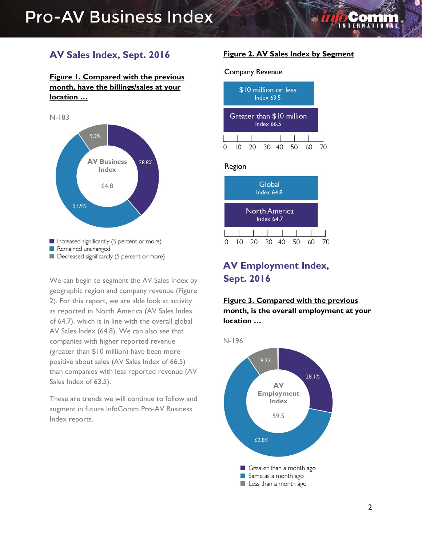#### **AV Sales Index, Sept. 2016**

#### **Figure 1. Compared with the previous month, have the billings/sales at your location …**



We can begin to segment the AV Sales Index by geographic region and company revenue (Figure 2). For this report, we are able look at activity as reported in North America (AV Sales Index of 64.7), which is in line with the overall global AV Sales Index (64.8). We can also see that companies with higher reported revenue (greater than \$10 million) have been more positive about sales (AV Sales Index of 66.5) than companies with less reported revenue (AV Sales Index of 63.5).

These are trends we will continue to follow and augment in future InfoComm Pro-AV Business Index reports.

#### **Figure 2. AV Sales Index by Segment**

#### **Company Revenue**



#### Region



### **AV Employment Index, Sept. 2016**

#### **Figure 3. Compared with the previous month, is the overall employment at your location …**

N-196

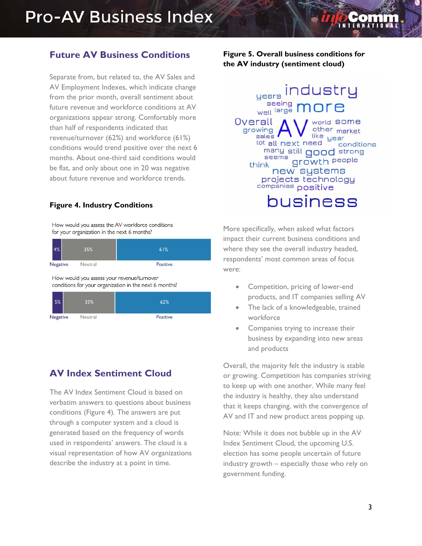#### **Future AV Business Conditions**

Separate from, but related to, the AV Sales and AV Employment Indexes, which indicate change from the prior month, overall sentiment about future revenue and workforce conditions at AV organizations appear strong. Comfortably more than half of respondents indicated that revenue/turnover (62%) and workforce (61%) conditions would trend positive over the next 6 months. About one-third said conditions would be flat, and only about one in 20 was negative about future revenue and workforce trends.

#### **Figure 4. Industry Conditions**

How would you assess the AV workforce conditions for your organization in the next 6 months?

| 4%       | 35%     | 61%             |
|----------|---------|-----------------|
| Negative | Neutral | <b>Positive</b> |

How would you assess your revenue/turnover conditions for your organization in the next 6 months?

| 5%       | 33%     | 62%      |
|----------|---------|----------|
| Negative | Neutral | Positive |

#### **AV Index Sentiment Cloud**

The AV Index Sentiment Cloud is based on verbatim answers to questions about business conditions (Figure 4). The answers are put through a computer system and a cloud is generated based on the frequency of words used in respondents' answers. The cloud is a visual representation of how AV organizations describe the industry at a point in time.

**Figure 5. Overall business conditions for the AV industry (sentiment cloud)** 



More specifically, when asked what factors impact their current business conditions and where they see the overall industry headed, respondents' most common areas of focus were:

- Competition, pricing of lower-end products, and IT companies selling AV
- The lack of a knowledgeable, trained workforce
- Companies trying to increase their business by expanding into new areas and products

Overall, the majority felt the industry is stable or growing. Competition has companies striving to keep up with one another. While many feel the industry is healthy, they also understand that it keeps changing, with the convergence of AV and IT and new product areas popping up.

Note: While it does not bubble up in the AV Index Sentiment Cloud, the upcoming U.S. election has some people uncertain of future industry growth – especially those who rely on government funding.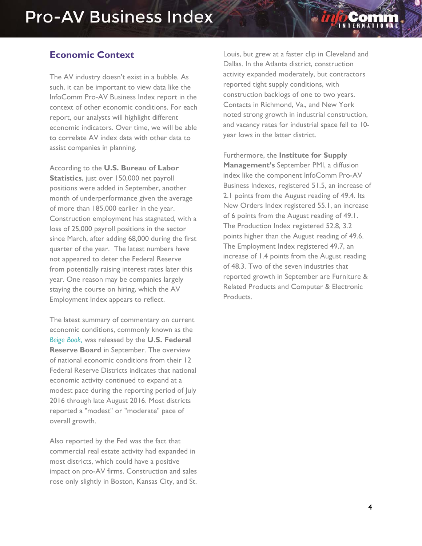#### **Economic Context**

The AV industry doesn't exist in a bubble. As such, it can be important to view data like the InfoComm Pro-AV Business Index report in the context of other economic conditions. For each report, our analysts will highlight different economic indicators. Over time, we will be able to correlate AV index data with other data to assist companies in planning.

According to the **U.S. Bureau of Labor Statistics**, just over 150,000 net payroll positions were added in September, another month of underperformance given the average of more than 185,000 earlier in the year. Construction employment has stagnated, with a loss of 25,000 payroll positions in the sector since March, after adding 68,000 during the first quarter of the year. The latest numbers have not appeared to deter the Federal Reserve from potentially raising interest rates later this year. One reason may be companies largely staying the course on hiring, which the AV Employment Index appears to reflect.

The latest summary of commentary on current economic conditions, commonly known as the *Beige Book,* was released by the **U.S. Federal Reserve Board** in September. The overview of national economic conditions from their 12 Federal Reserve Districts indicates that national economic activity continued to expand at a modest pace during the reporting period of July 2016 through late August 2016. Most districts reported a "modest" or "moderate" pace of overall growth.

Also reported by the Fed was the fact that commercial real estate activity had expanded in most districts, which could have a positive impact on pro-AV firms. Construction and sales rose only slightly in Boston, Kansas City, and St.

Louis, but grew at a faster clip in Cleveland and Dallas. In the Atlanta district, construction activity expanded moderately, but contractors reported tight supply conditions, with construction backlogs of one to two years. Contacts in Richmond, Va., and New York noted strong growth in industrial construction, and vacancy rates for industrial space fell to 10 year lows in the latter district.

Furthermore, the **Institute for Supply Management's** September PMI, a diffusion index like the component InfoComm Pro-AV Business Indexes, registered 51.5, an increase of 2.1 points from the August reading of 49.4. Its New Orders Index registered 55.1, an increase of 6 points from the August reading of 49.1. The Production Index registered 52.8, 3.2 points higher than the August reading of 49.6. The Employment Index registered 49.7, an increase of 1.4 points from the August reading of 48.3. Two of the seven industries that reported growth in September are Furniture & Related Products and Computer & Electronic Products.